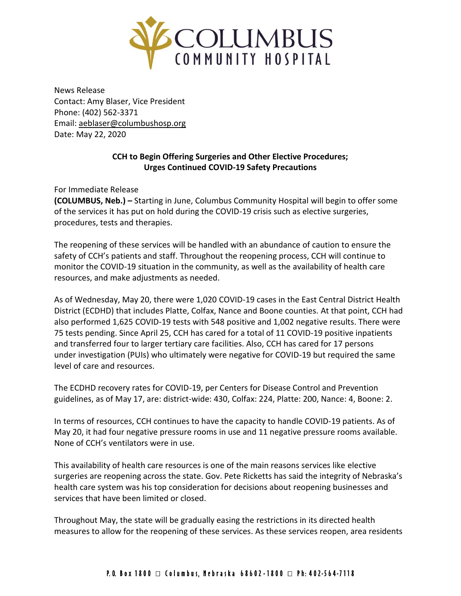

News Release Contact: Amy Blaser, Vice President Phone: (402) 562-3371 Email: [aeblaser@columbushosp.org](mailto:aeblaser@columbushosp.org) Date: May 22, 2020

## **CCH to Begin Offering Surgeries and Other Elective Procedures; Urges Continued COVID-19 Safety Precautions**

For Immediate Release

**(COLUMBUS, Neb.) –** Starting in June, Columbus Community Hospital will begin to offer some of the services it has put on hold during the COVID-19 crisis such as elective surgeries, procedures, tests and therapies.

The reopening of these services will be handled with an abundance of caution to ensure the safety of CCH's patients and staff. Throughout the reopening process, CCH will continue to monitor the COVID-19 situation in the community, as well as the availability of health care resources, and make adjustments as needed.

As of Wednesday, May 20, there were 1,020 COVID-19 cases in the East Central District Health District (ECDHD) that includes Platte, Colfax, Nance and Boone counties. At that point, CCH had also performed 1,625 COVID-19 tests with 548 positive and 1,002 negative results. There were 75 tests pending. Since April 25, CCH has cared for a total of 11 COVID-19 positive inpatients and transferred four to larger tertiary care facilities. Also, CCH has cared for 17 persons under investigation (PUIs) who ultimately were negative for COVID-19 but required the same level of care and resources.

The ECDHD recovery rates for COVID-19, per Centers for Disease Control and Prevention guidelines, as of May 17, are: district-wide: 430, Colfax: 224, Platte: 200, Nance: 4, Boone: 2.

In terms of resources, CCH continues to have the capacity to handle COVID-19 patients. As of May 20, it had four negative pressure rooms in use and 11 negative pressure rooms available. None of CCH's ventilators were in use.

This availability of health care resources is one of the main reasons services like elective surgeries are reopening across the state. Gov. Pete Ricketts has said the integrity of Nebraska's health care system was his top consideration for decisions about reopening businesses and services that have been limited or closed.

Throughout May, the state will be gradually easing the restrictions in its directed health measures to allow for the reopening of these services. As these services reopen, area residents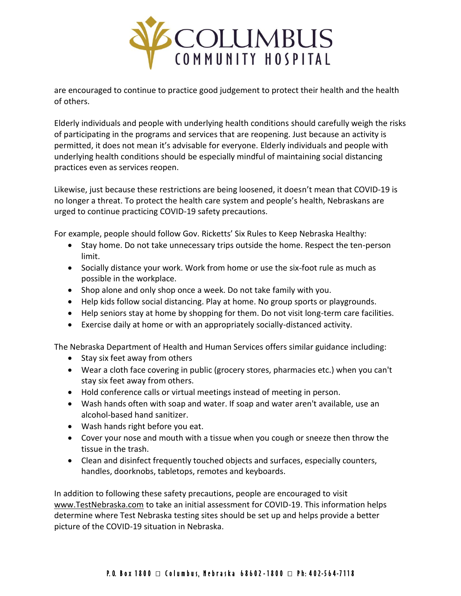

are encouraged to continue to practice good judgement to protect their health and the health of others.

Elderly individuals and people with underlying health conditions should carefully weigh the risks of participating in the programs and services that are reopening. Just because an activity is permitted, it does not mean it's advisable for everyone. Elderly individuals and people with underlying health conditions should be especially mindful of maintaining social distancing practices even as services reopen.

Likewise, just because these restrictions are being loosened, it doesn't mean that COVID-19 is no longer a threat. To protect the health care system and people's health, Nebraskans are urged to continue practicing COVID-19 safety precautions.

For example, people should follow Gov. Ricketts' Six Rules to Keep Nebraska Healthy:

- Stay home. Do not take unnecessary trips outside the home. Respect the ten-person limit.
- Socially distance your work. Work from home or use the six-foot rule as much as possible in the workplace.
- Shop alone and only shop once a week. Do not take family with you.
- Help kids follow social distancing. Play at home. No group sports or playgrounds.
- Help seniors stay at home by shopping for them. Do not visit long-term care facilities.
- Exercise daily at home or with an appropriately socially-distanced activity.

The Nebraska Department of Health and Human Services offers similar guidance including:

- $\bullet$  Stay six feet away from others
- Wear a cloth face covering in public (grocery stores, pharmacies etc.) when you can't stay six feet away from others.
- Hold conference calls or virtual meetings instead of meeting in person.
- Wash hands often with soap and water. If soap and water aren't available, use an alcohol-based hand sanitizer.
- Wash hands right before you eat.
- Cover your nose and mouth with a tissue when you cough or sneeze then throw the tissue in the trash.
- Clean and disinfect frequently touched objects and surfaces, especially counters, handles, doorknobs, tabletops, remotes and keyboards.

In addition to following these safety precautions, people are encouraged to visit [www.TestNebraska.com](https://gcc02.safelinks.protection.outlook.com/?url=http%3A%2F%2Fwww.testnebraska.com%2F&data=02%7C01%7Ccio.webmstr%40nebraska.gov%7C7d172dac34a14c71727908d7f1026b7b%7C043207dfe6894bf6902001038f11f0b1%7C0%7C0%7C637242865004835504&sdata=%2FKvOK3rkJlG1S8ylvKQfSo6sUtGZ6KfV%2BIgm7ILrm8A%3D&reserved=0) to take an initial assessment for COVID-19. This information helps determine where Test Nebraska testing sites should be set up and helps provide a better picture of the COVID-19 situation in Nebraska.